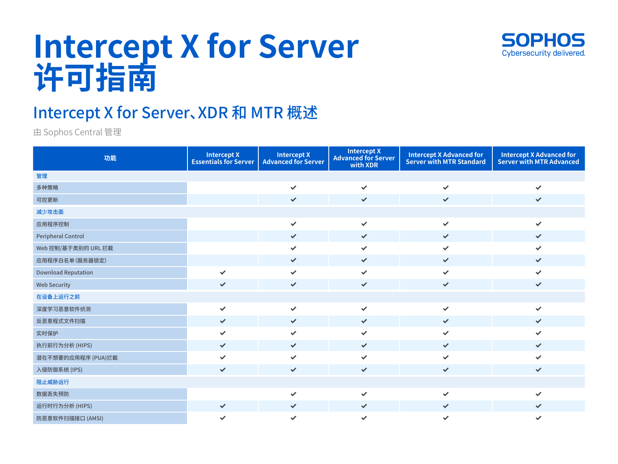# **Intercept X for Server 许可指南**



### Intercept X for Server、XDR 和 MTR 概述

由 Sophos Central 管理

| 功能                         | <b>Intercept X</b><br><b>Essentials for Server</b> | <b>Intercept X</b><br><b>Advanced for Server</b> | <b>Intercept X</b><br><b>Advanced for Server</b><br>with XDR | Intercept X Advanced for<br>Server with MTR Standard | Intercept X Advanced for<br>Server with MTR Advanced |
|----------------------------|----------------------------------------------------|--------------------------------------------------|--------------------------------------------------------------|------------------------------------------------------|------------------------------------------------------|
| 管理                         |                                                    |                                                  |                                                              |                                                      |                                                      |
| 多种策略                       |                                                    | $\checkmark$                                     | $\checkmark$                                                 | $\checkmark$                                         | ✓                                                    |
| 可控更新                       |                                                    | $\checkmark$                                     | $\checkmark$                                                 | $\checkmark$                                         | $\checkmark$                                         |
| 减少攻击面                      |                                                    |                                                  |                                                              |                                                      |                                                      |
| 应用程序控制                     |                                                    | $\checkmark$                                     | $\checkmark$                                                 | $\checkmark$                                         | ✓                                                    |
| <b>Peripheral Control</b>  |                                                    | $\checkmark$                                     | $\checkmark$                                                 | $\checkmark$                                         | $\checkmark$                                         |
| Web 控制/基于类别的 URL 拦截        |                                                    | $\checkmark$                                     | $\checkmark$                                                 | $\checkmark$                                         | $\checkmark$                                         |
| 应用程序白名单(服务器锁定)             |                                                    | $\checkmark$                                     | $\checkmark$                                                 | $\checkmark$                                         | $\checkmark$                                         |
| <b>Download Reputation</b> | $\checkmark$                                       | $\checkmark$                                     | $\checkmark$                                                 | $\checkmark$                                         | $\checkmark$                                         |
| <b>Web Security</b>        | $\checkmark$                                       | $\checkmark$                                     | $\checkmark$                                                 | $\checkmark$                                         | $\checkmark$                                         |
| 在设备上运行之前                   |                                                    |                                                  |                                                              |                                                      |                                                      |
| 深度学习恶意软件侦测                 | $\checkmark$                                       | $\checkmark$                                     | $\checkmark$                                                 | $\checkmark$                                         | $\checkmark$                                         |
| 反恶意程式文件扫描                  | $\checkmark$                                       | $\checkmark$                                     | $\checkmark$                                                 | $\checkmark$                                         | $\checkmark$                                         |
| 实时保护                       | $\checkmark$                                       | $\checkmark$                                     | $\checkmark$                                                 | $\checkmark$                                         | $\checkmark$                                         |
| 执行前行为分析 (HIPS)             | $\checkmark$                                       | $\checkmark$                                     | $\checkmark$                                                 | $\checkmark$                                         | $\checkmark$                                         |
| 潜在不想要的应用程序 (PUA)拦截         | $\checkmark$                                       | $\checkmark$                                     | $\checkmark$                                                 | $\checkmark$                                         | $\checkmark$                                         |
| 入侵防御系统 (IPS)               | $\checkmark$                                       | $\checkmark$                                     | $\checkmark$                                                 | $\checkmark$                                         | $\checkmark$                                         |
| 阻止威胁运行                     |                                                    |                                                  |                                                              |                                                      |                                                      |
| 数据丢失预防                     |                                                    | $\checkmark$                                     | $\checkmark$                                                 | $\checkmark$                                         | $\checkmark$                                         |
| 运行时行为分析 (HIPS)             | $\checkmark$                                       | $\checkmark$                                     | $\checkmark$                                                 | $\checkmark$                                         | $\checkmark$                                         |
| 防恶意软件扫描接口 (AMSI)           | ✓                                                  | $\checkmark$                                     | ✔                                                            | $\checkmark$                                         | ✓                                                    |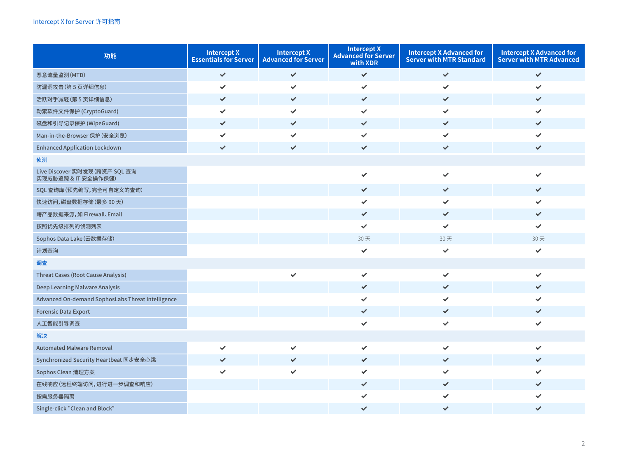| 功能                                                    | <b>Intercept X</b><br><b>Essentials for Server</b> | <b>Intercept X</b><br><b>Advanced for Server</b> | <b>Intercept X</b><br><b>Advanced for Server</b><br>with XDR | <b>Intercept X Advanced for</b><br><b>Server with MTR Standard</b> | <b>Intercept X Advanced for</b><br><b>Server with MTR Advanced</b> |
|-------------------------------------------------------|----------------------------------------------------|--------------------------------------------------|--------------------------------------------------------------|--------------------------------------------------------------------|--------------------------------------------------------------------|
| 恶意流量监测(MTD)                                           | $\checkmark$                                       | $\checkmark$                                     | $\checkmark$                                                 | $\checkmark$                                                       | $\checkmark$                                                       |
| 防漏洞攻击(第5页详细信息)                                        | $\checkmark$                                       | $\checkmark$                                     | $\checkmark$                                                 | $\checkmark$                                                       | $\checkmark$                                                       |
| 活跃对手减轻(第5页详细信息)                                       | $\checkmark$                                       | $\checkmark$                                     | $\checkmark$                                                 | $\checkmark$                                                       | ✓                                                                  |
| 勒索软件文件保护 (CryptoGuard)                                | $\checkmark$                                       | $\checkmark$                                     | $\checkmark$                                                 | $\checkmark$                                                       | $\checkmark$                                                       |
| 磁盘和引导记录保护 (WipeGuard)                                 | $\checkmark$                                       | $\checkmark$                                     | $\checkmark$                                                 | $\checkmark$                                                       | $\checkmark$                                                       |
| Man-in-the-Browser 保护 (安全浏览)                          | ✓                                                  | $\checkmark$                                     | $\checkmark$                                                 | $\checkmark$                                                       | $\checkmark$                                                       |
| <b>Enhanced Application Lockdown</b>                  | $\checkmark$                                       | ✓                                                | $\checkmark$                                                 | $\checkmark$                                                       | $\checkmark$                                                       |
| 侦测                                                    |                                                    |                                                  |                                                              |                                                                    |                                                                    |
| Live Discover 实时发现 (跨资产 SQL 查询<br>实现威胁追踪 & IT 安全操作保健) |                                                    |                                                  | $\checkmark$                                                 | $\checkmark$                                                       | $\checkmark$                                                       |
| SQL 查询库(预先编写,完全可自定义的查询)                               |                                                    |                                                  | $\checkmark$                                                 | $\checkmark$                                                       | $\checkmark$                                                       |
| 快速访问,磁盘数据存储(最多90天)                                    |                                                    |                                                  | $\checkmark$                                                 | $\checkmark$                                                       | $\checkmark$                                                       |
| 跨产品数据来源, 如 Firewall、Email                             |                                                    |                                                  | $\checkmark$                                                 | $\checkmark$                                                       | $\checkmark$                                                       |
| 按照优先级排列的侦测列表                                          |                                                    |                                                  | $\checkmark$                                                 | $\checkmark$                                                       | $\checkmark$                                                       |
| Sophos Data Lake (云数据存储)                              |                                                    |                                                  | 30天                                                          | 30天                                                                | 30天                                                                |
| 计划查询                                                  |                                                    |                                                  | ✔                                                            | $\checkmark$                                                       | $\checkmark$                                                       |
| 调查                                                    |                                                    |                                                  |                                                              |                                                                    |                                                                    |
| <b>Threat Cases (Root Cause Analysis)</b>             |                                                    | $\checkmark$                                     | $\checkmark$                                                 | $\checkmark$                                                       | $\checkmark$                                                       |
| Deep Learning Malware Analysis                        |                                                    |                                                  | ✔                                                            | $\checkmark$                                                       | $\checkmark$                                                       |
| Advanced On-demand SophosLabs Threat Intelligence     |                                                    |                                                  | $\checkmark$                                                 | $\checkmark$                                                       | ✔                                                                  |
| <b>Forensic Data Export</b>                           |                                                    |                                                  | ✔                                                            | $\checkmark$                                                       | $\checkmark$                                                       |
| 人工智能引导调查                                              |                                                    |                                                  | $\checkmark$                                                 | $\checkmark$                                                       | $\checkmark$                                                       |
| 解决                                                    |                                                    |                                                  |                                                              |                                                                    |                                                                    |
| <b>Automated Malware Removal</b>                      | $\checkmark$                                       | $\checkmark$                                     | $\checkmark$                                                 | $\checkmark$                                                       | $\checkmark$                                                       |
| Synchronized Security Heartbeat 同步安全心跳                | ✔                                                  | $\checkmark$                                     | $\checkmark$                                                 | $\checkmark$                                                       | $\checkmark$                                                       |
| Sophos Clean 清理方案                                     | $\checkmark$                                       | $\checkmark$                                     | $\checkmark$                                                 | $\checkmark$                                                       | ✓                                                                  |
| 在线响应(远程终端访问,进行进一步调查和响应)                               |                                                    |                                                  | $\checkmark$                                                 | $\checkmark$                                                       | ✓                                                                  |
| 按需服务器隔离                                               |                                                    |                                                  | $\checkmark$                                                 |                                                                    |                                                                    |
| Single-click "Clean and Block"                        |                                                    |                                                  | $\checkmark$                                                 | ✓                                                                  | ✓                                                                  |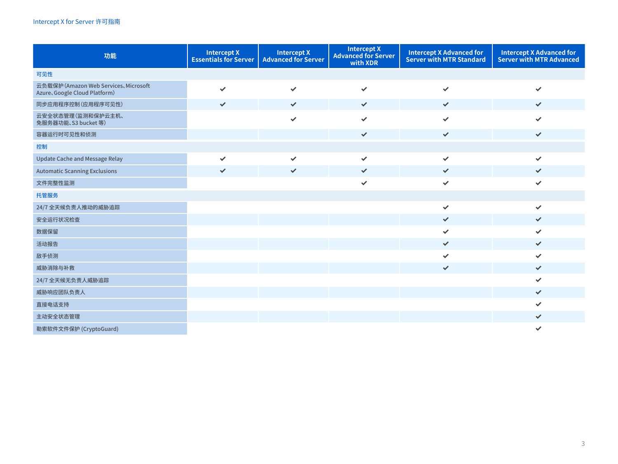| 功能                                                                    | <b>Intercept X</b><br><b>Essentials for Server</b> | <b>Intercept X</b><br>Advanced for Server | <b>Intercept X</b><br><b>Advanced for Server</b><br>with XDR | Intercept X Advanced for<br>Server with MTR Standard | Intercept X Advanced for<br>Server with MTR Advanced |
|-----------------------------------------------------------------------|----------------------------------------------------|-------------------------------------------|--------------------------------------------------------------|------------------------------------------------------|------------------------------------------------------|
| 可见性                                                                   |                                                    |                                           |                                                              |                                                      |                                                      |
| 云负载保护 (Amazon Web Services、Microsoft<br>Azure, Google Cloud Platform) | $\checkmark$                                       | $\checkmark$                              | $\checkmark$                                                 | $\checkmark$                                         | $\checkmark$                                         |
| 同步应用程序控制(应用程序可见性)                                                     | $\checkmark$                                       | $\checkmark$                              | $\checkmark$                                                 | $\checkmark$                                         | $\checkmark$                                         |
| 云安全状态管理(监测和保护云主机、<br>免服务器功能、S3 bucket 等)                              |                                                    | $\checkmark$                              | $\checkmark$                                                 | $\checkmark$                                         | $\checkmark$                                         |
| 容器运行时可见性和侦测                                                           |                                                    |                                           | $\checkmark$                                                 | $\checkmark$                                         | $\checkmark$                                         |
| 控制                                                                    |                                                    |                                           |                                                              |                                                      |                                                      |
| <b>Update Cache and Message Relay</b>                                 | $\checkmark$                                       | $\checkmark$                              | $\checkmark$                                                 | $\checkmark$                                         | ✓                                                    |
| <b>Automatic Scanning Exclusions</b>                                  | $\checkmark$                                       | $\checkmark$                              | $\checkmark$                                                 | $\checkmark$                                         | $\checkmark$                                         |
| 文件完整性监测                                                               |                                                    |                                           | $\checkmark$                                                 | $\checkmark$                                         | $\checkmark$                                         |
| 托管服务                                                                  |                                                    |                                           |                                                              |                                                      |                                                      |
| 24/7 全天候负责人推动的威胁追踪                                                    |                                                    |                                           |                                                              | $\checkmark$                                         | $\checkmark$                                         |
| 安全运行状况检查                                                              |                                                    |                                           |                                                              | $\checkmark$                                         | $\checkmark$                                         |
| 数据保留                                                                  |                                                    |                                           |                                                              | $\checkmark$                                         | $\checkmark$                                         |
| 活动报告                                                                  |                                                    |                                           |                                                              | $\checkmark$                                         | $\checkmark$                                         |
| 敌手侦测                                                                  |                                                    |                                           |                                                              | $\checkmark$                                         | ✓                                                    |
| 威胁消除与补救                                                               |                                                    |                                           |                                                              | $\checkmark$                                         | $\checkmark$                                         |
| 24/7 全天候无负责人威胁追踪                                                      |                                                    |                                           |                                                              |                                                      | $\checkmark$                                         |
| 威胁响应团队负责人                                                             |                                                    |                                           |                                                              |                                                      | $\checkmark$                                         |
| 直接电话支持                                                                |                                                    |                                           |                                                              |                                                      | $\checkmark$                                         |
| 主动安全状态管理                                                              |                                                    |                                           |                                                              |                                                      | $\checkmark$                                         |
| 勒索软件文件保护 (CryptoGuard)                                                |                                                    |                                           |                                                              |                                                      | ✓                                                    |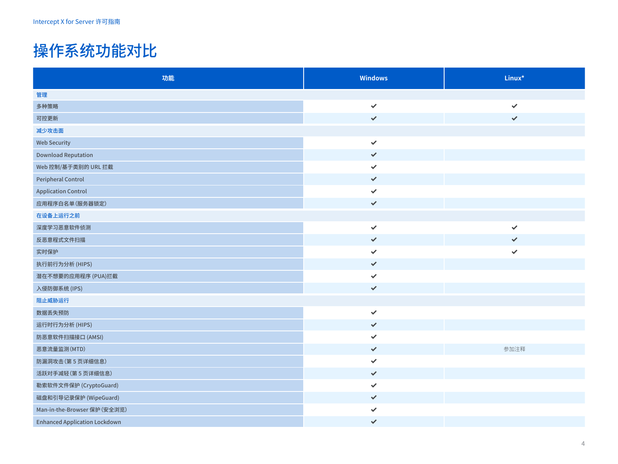## 操作系统功能对比

| 功能                                   | <b>Windows</b> | Linux*       |
|--------------------------------------|----------------|--------------|
| 管理                                   |                |              |
| 多种策略                                 | $\checkmark$   | $\checkmark$ |
| 可控更新                                 | $\checkmark$   | $\checkmark$ |
| 减少攻击面                                |                |              |
| <b>Web Security</b>                  | $\checkmark$   |              |
| <b>Download Reputation</b>           | $\checkmark$   |              |
| Web 控制/基于类别的 URL 拦截                  | $\checkmark$   |              |
| <b>Peripheral Control</b>            | $\checkmark$   |              |
| <b>Application Control</b>           | $\checkmark$   |              |
| 应用程序白名单(服务器锁定)                       | $\checkmark$   |              |
| 在设备上运行之前                             |                |              |
| 深度学习恶意软件侦测                           | $\checkmark$   | $\checkmark$ |
| 反恶意程式文件扫描                            | $\checkmark$   | $\checkmark$ |
| 实时保护                                 | $\checkmark$   | $\checkmark$ |
| 执行前行为分析 (HIPS)                       | $\checkmark$   |              |
| 潜在不想要的应用程序 (PUA)拦截                   | ✔              |              |
| 入侵防御系统 (IPS)                         | $\checkmark$   |              |
| 阻止威胁运行                               |                |              |
| 数据丢失预防                               | $\checkmark$   |              |
| 运行时行为分析 (HIPS)                       | $\checkmark$   |              |
| 防恶意软件扫描接口 (AMSI)                     | $\checkmark$   |              |
| 恶意流量监测(MTD)                          | $\checkmark$   | 参加注释         |
| 防漏洞攻击(第5页详细信息)                       | $\checkmark$   |              |
| 活跃对手减轻(第5页详细信息)                      | $\checkmark$   |              |
| 勒索软件文件保护 (CryptoGuard)               | $\checkmark$   |              |
| 磁盘和引导记录保护 (WipeGuard)                | $\checkmark$   |              |
| Man-in-the-Browser 保护 (安全浏览)         | ✔              |              |
| <b>Enhanced Application Lockdown</b> | $\checkmark$   |              |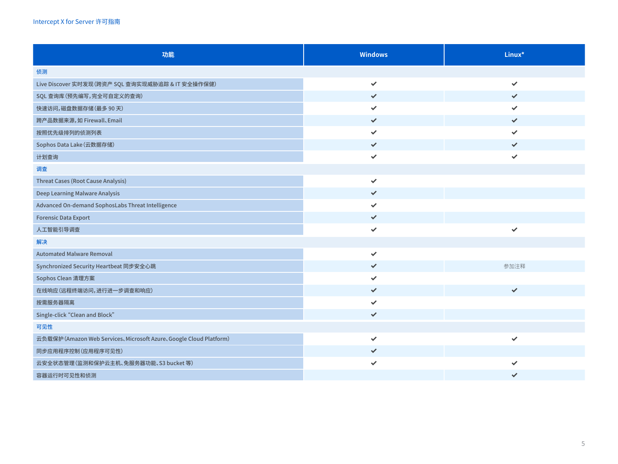| 功能                                                                | <b>Windows</b> | Linux*       |
|-------------------------------------------------------------------|----------------|--------------|
| 侦测                                                                |                |              |
| Live Discover 实时发现 (跨资产 SQL 查询实现威胁追踪 & IT 安全操作保健)                 | ✔              | $\checkmark$ |
| SQL 查询库(预先编写,完全可自定义的查询)                                           | ✔              | $\checkmark$ |
| 快速访问,磁盘数据存储(最多90天)                                                | ✓              | $\checkmark$ |
| 跨产品数据来源, 如 Firewall、Email                                         | $\checkmark$   | $\checkmark$ |
| 按照优先级排列的侦测列表                                                      | ✓              | $\checkmark$ |
| Sophos Data Lake (云数据存储)                                          | $\checkmark$   | $\checkmark$ |
| 计划查询                                                              | $\checkmark$   | $\checkmark$ |
| 调查                                                                |                |              |
| <b>Threat Cases (Root Cause Analysis)</b>                         | ✔              |              |
| Deep Learning Malware Analysis                                    | $\checkmark$   |              |
| Advanced On-demand SophosLabs Threat Intelligence                 | ✓              |              |
| <b>Forensic Data Export</b>                                       | ✔              |              |
| 人工智能引导调查                                                          | $\checkmark$   | $\checkmark$ |
| 解决                                                                |                |              |
| <b>Automated Malware Removal</b>                                  | $\checkmark$   |              |
| Synchronized Security Heartbeat 同步安全心跳                            | $\checkmark$   | 参加注释         |
| Sophos Clean 清理方案                                                 | ✓              |              |
| 在线响应(远程终端访问,进行进一步调查和响应)                                           | $\checkmark$   | $\checkmark$ |
| 按需服务器隔离                                                           | ✓              |              |
| Single-click "Clean and Block"                                    | $\checkmark$   |              |
| 可见性                                                               |                |              |
| 云负载保护 (Amazon Web Services、Microsoft Azure、Google Cloud Platform) | ✓              | $\checkmark$ |
| 同步应用程序控制(应用程序可见性)                                                 | ✔              |              |
| 云安全状态管理(监测和保护云主机、免服务器功能、S3 bucket 等)                              | $\checkmark$   | $\checkmark$ |
| 容器运行时可见性和侦测                                                       |                | ✓            |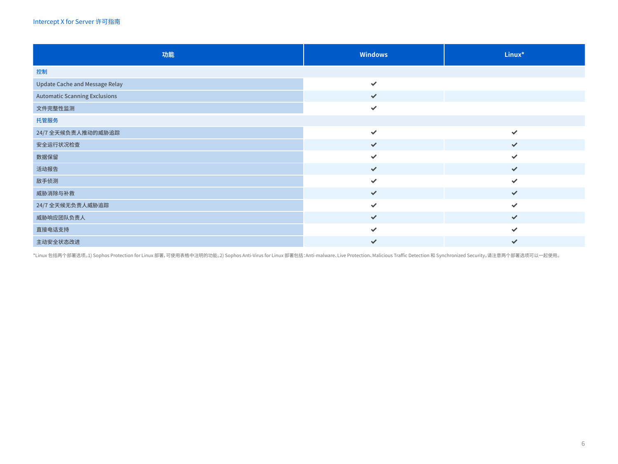| 功能                                    | <b>Windows</b> | Linux*       |
|---------------------------------------|----------------|--------------|
| 控制                                    |                |              |
| <b>Update Cache and Message Relay</b> | $\checkmark$   |              |
| <b>Automatic Scanning Exclusions</b>  | $\checkmark$   |              |
| 文件完整性监测                               | $\checkmark$   |              |
| 托管服务                                  |                |              |
| 24/7 全天候负责人推动的威胁追踪                    | $\checkmark$   | $\checkmark$ |
| 安全运行状况检查                              | $\checkmark$   | $\checkmark$ |
| 数据保留                                  | $\checkmark$   | $\checkmark$ |
| 活动报告                                  | $\checkmark$   | $\checkmark$ |
| 敌手侦测                                  | $\checkmark$   | $\checkmark$ |
| 威胁消除与补救                               | $\checkmark$   | $\checkmark$ |
| 24/7 全天候无负责人威胁追踪                      | $\checkmark$   | $\checkmark$ |
| 威胁响应团队负责人                             | $\checkmark$   | $\checkmark$ |
| 直接电话支持                                | $\checkmark$   | $\checkmark$ |
| 主动安全状态改进                              | $\checkmark$   | $\checkmark$ |

\*Linux 包括两个部署选项。1) Sophos Protection for Linux 部署,可使用表格中注明的功能。2) Sophos Anti-Virus for Linux 部署包括:Anti-malware、Live Protection、Malicious Traffic Detection 和 Synchronized Security。请注意两个部署选项可以一起使用。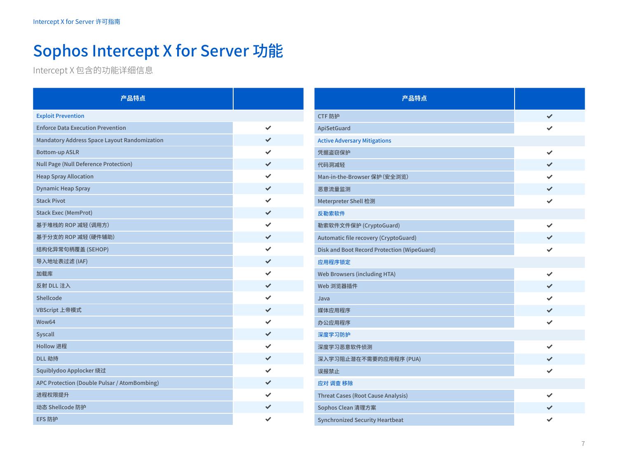# Sophos Intercept X for Server 功能

Intercept X 包含的功能详细信息

| 产品特点                                                |              |
|-----------------------------------------------------|--------------|
| <b>Exploit Prevention</b>                           |              |
| <b>Enforce Data Execution Prevention</b>            | ✓            |
| <b>Mandatory Address Space Layout Randomization</b> | $\checkmark$ |
| <b>Bottom-up ASLR</b>                               |              |
| <b>Null Page (Null Deference Protection)</b>        | $\checkmark$ |
| <b>Heap Spray Allocation</b>                        | ✓            |
| <b>Dynamic Heap Spray</b>                           | ✓            |
| <b>Stack Pivot</b>                                  | $\checkmark$ |
| <b>Stack Exec (MemProt)</b>                         | ✓            |
| 基于堆栈的 ROP 减轻(调用方)                                   | ✓            |
| 基于分支的 ROP 减轻 (硬件辅助)                                 | $\checkmark$ |
| 结构化异常句柄覆盖 (SEHOP)                                   | ✓            |
| 导入地址表过滤 (IAF)                                       | $\checkmark$ |
| 加载库                                                 | ✓            |
| 反射 DLL 注入                                           | ✓            |
| Shellcode                                           | ✓            |
| VBScript 上帝模式                                       | $\checkmark$ |
| Wow64                                               | ✓            |
| Syscall                                             | ✓            |
| Hollow 进程                                           | ✓            |
| DLL 劫持                                              | ✓            |
| Squiblydoo Applocker 绕过                             | ✓            |
| APC Protection (Double Pulsar / AtomBombing)        | ✓            |
| 进程权限提升                                              |              |
| 动态 Shellcode 防护                                     | ✓            |
| EFS 防护                                              | ✓            |

| 产品特点                                        |              |
|---------------------------------------------|--------------|
| CTF 防护                                      | $\checkmark$ |
| ApiSetGuard                                 | ✓            |
| <b>Active Adversary Mitigations</b>         |              |
| 凭据盗窃保护                                      |              |
| 代码洞减轻                                       | $\checkmark$ |
| Man-in-the-Browser 保护 (安全浏览)                | ✓            |
| 恶意流量监测                                      | $\checkmark$ |
| Meterpreter Shell 检测                        | ✓            |
| 反勒索软件                                       |              |
| 勒索软件文件保护 (CryptoGuard)                      | ✓            |
| Automatic file recovery (CryptoGuard)       | ✓            |
| Disk and Boot Record Protection (WipeGuard) | ✓            |
| 应用程序锁定                                      |              |
| <b>Web Browsers (including HTA)</b>         |              |
| Web 浏览器插件                                   | $\checkmark$ |
| Java                                        | $\checkmark$ |
| 媒体应用程序                                      | ✓            |
| 办公应用程序                                      | ✓            |
| 深度学习防护                                      |              |
| 深度学习恶意软件侦测                                  |              |
| 深入学习阻止潜在不需要的应用程序 (PUA)                      | $\checkmark$ |
| 误报禁止                                        | ✓            |
| 应对 调查 移除                                    |              |
| <b>Threat Cases (Root Cause Analysis)</b>   |              |
| Sophos Clean 清理方案                           | ✓            |
| <b>Synchronized Security Heartbeat</b>      |              |